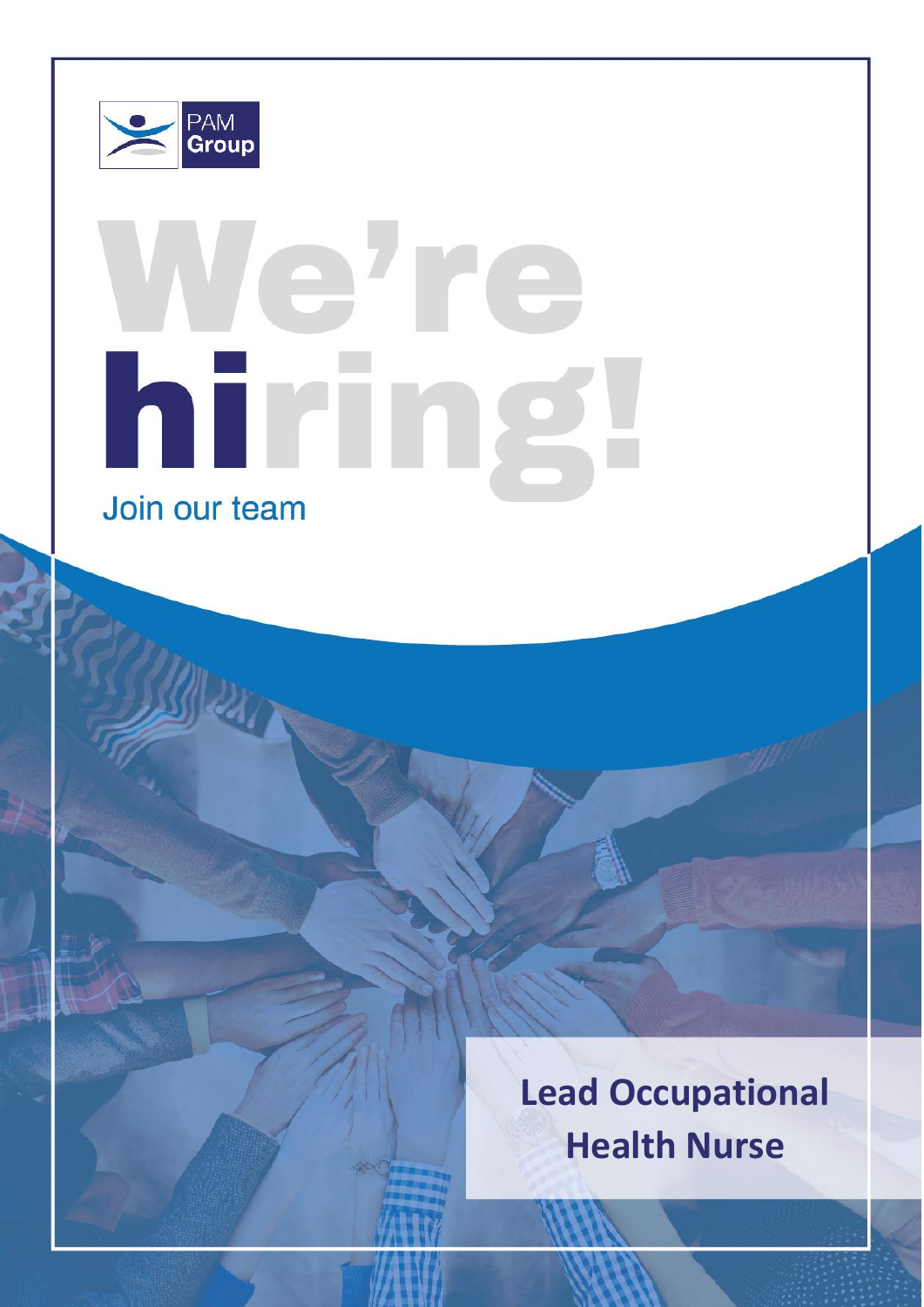

# ehre hiring Join our team

**Lead Occupational Health Nurse**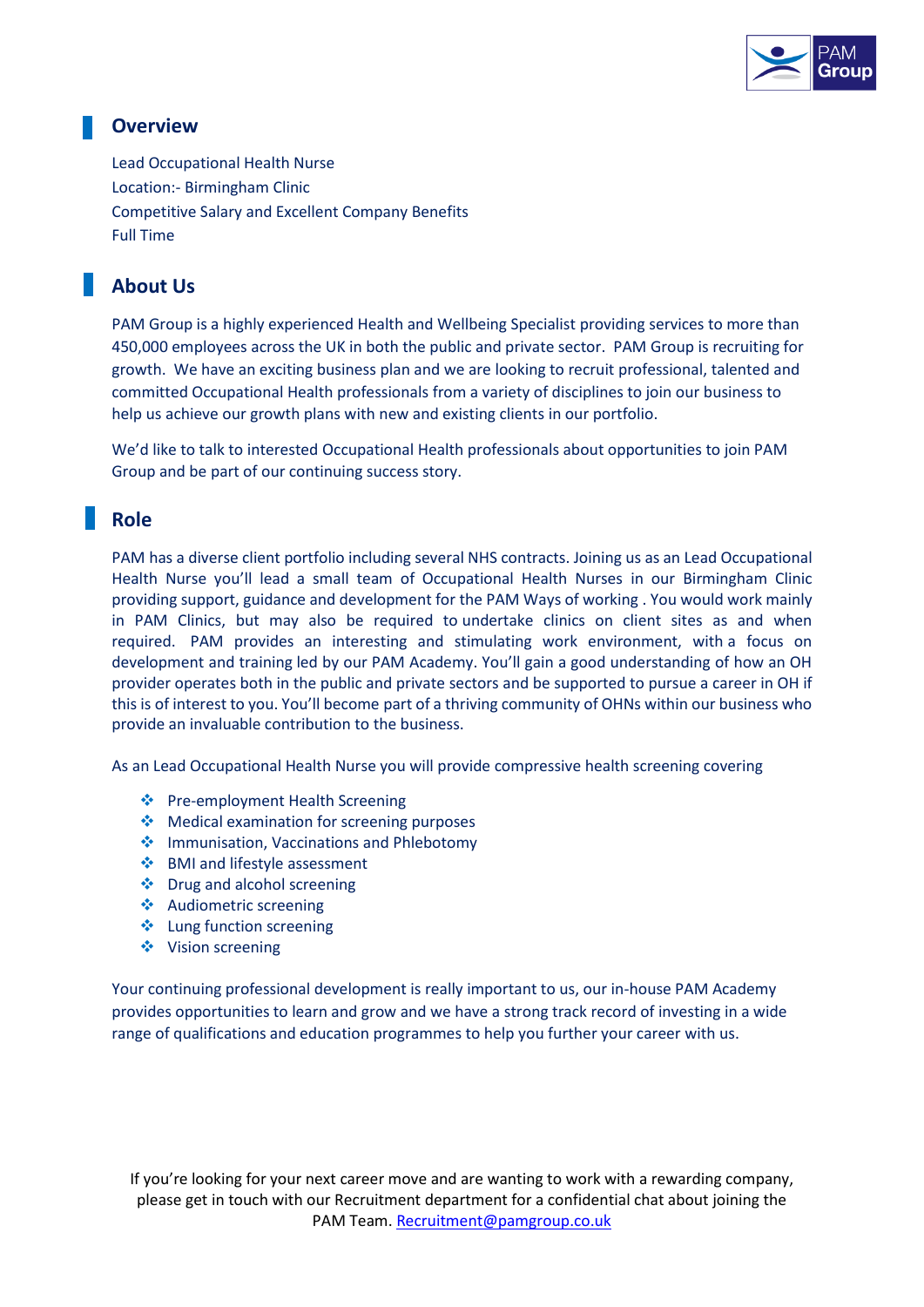

#### **Overview**

Lead Occupational Health Nurse Location:- Birmingham Clinic Competitive Salary and Excellent Company Benefits Full Time

### **About Us**

PAM Group is a highly experienced Health and Wellbeing Specialist providing services to more than 450,000 employees across the UK in both the public and private sector. PAM Group is recruiting for growth. We have an exciting business plan and we are looking to recruit professional, talented and committed Occupational Health professionals from a variety of disciplines to join our business to help us achieve our growth plans with new and existing clients in our portfolio.

We'd like to talk to interested Occupational Health professionals about opportunities to join PAM Group and be part of our continuing success story.

#### **Role**

PAM has a diverse client portfolio including several NHS contracts. Joining us as an Lead Occupational Health Nurse you'll lead a small team of Occupational Health Nurses in our Birmingham Clinic providing support, guidance and development for the PAM Ways of working . You would work mainly in PAM Clinics, but may also be required to undertake clinics on client sites as and when required. PAM provides an interesting and stimulating work environment, with a focus on development and training led by our PAM Academy. You'll gain a good understanding of how an OH provider operates both in the public and private sectors and be supported to pursue a career in OH if this is of interest to you. You'll become part of a thriving community of OHNs within our business who provide an invaluable contribution to the business.

As an Lead Occupational Health Nurse you will provide compressive health screening covering

- ❖ Pre-employment Health Screening
- ❖ Medical examination for screening purposes
- ❖ Immunisation, Vaccinations and Phlebotomy
- ❖ BMI and lifestyle assessment
- ❖ Drug and alcohol screening
- ❖ Audiometric screening
- ❖ Lung function screening
- ❖ Vision screening

Your continuing professional development is really important to us, our in-house PAM Academy provides opportunities to learn and grow and we have a strong track record of investing in a wide range of qualifications and education programmes to help you further your career with us.

If you're looking for your next career move and are wanting to work with a rewarding company, please get in touch with our Recruitment department for a confidential chat about joining the PAM Team. [Recruitment@pamgroup.co.uk](mailto:Recruitment@pamgroup.co.uk)